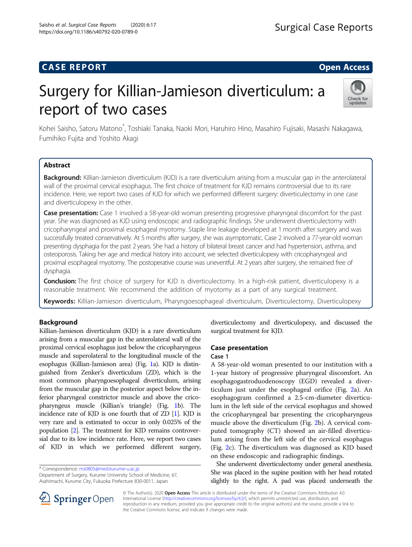# **CASE REPORT And SERVICE SERVICE SERVICE SERVICE SERVICE SERVICE SERVICE SERVICE SERVICE SERVICE SERVICE SERVICE**

# Surgery for Killian-Jamieson diverticulum: a report of two cases



Kohei Saisho, Satoru Matono<sup>\*</sup>, Toshiaki Tanaka, Naoki Mori, Haruhiro Hino, Masahiro Fujisaki, Masashi Nakagawa, Fumihiko Fujita and Yoshito Akagi

# Abstract

Background: Killian-Jamieson diverticulum (KJD) is a rare diverticulum arising from a muscular gap in the anterolateral wall of the proximal cervical esophagus. The first choice of treatment for KJD remains controversial due to its rare incidence. Here, we report two cases of KJD for which we performed different surgery: diverticulectomy in one case and diverticulopexy in the other.

**Case presentation:** Case 1 involved a 58-year-old woman presenting progressive pharyngeal discomfort for the past year. She was diagnosed as KJD using endoscopic and radiographic findings. She underwent diverticulectomy with cricopharyngeal and proximal esophageal myotomy. Staple line leakage developed at 1 month after surgery and was successfully treated conservatively. At 5 months after surgery, she was asymptomatic. Case 2 involved a 77-year-old woman presenting dysphagia for the past 2 years. She had a history of bilateral breast cancer and had hypertension, asthma, and osteoporosis. Taking her age and medical history into account, we selected diverticulopexy with cricopharyngeal and proximal esophageal myotomy. The postoperative course was uneventful. At 2 years after surgery, she remained free of dysphagia.

**Conclusion:** The first choice of surgery for KJD is diverticulectomy. In a high-risk patient, diverticulopexy is a reasonable treatment. We recommend the addition of myotomy as a part of any surgical treatment.

Keywords: Killian-Jamieson diverticulum, Pharyngoesophageal diverticulum, Diverticulectomy, Diverticulopexy

# Background

Killian-Jamieson diverticulum (KJD) is a rare diverticulum arising from a muscular gap in the anterolateral wall of the proximal cervical esophagus just below the cricopharyngeus muscle and superolateral to the longitudinal muscle of the esophagus (Killian-Jamieson area) (Fig. [1](#page-1-0)a). KJD is distinguished from Zenker's diverticulum (ZD), which is the most common pharyngoesophageal diverticulum, arising from the muscular gap in the posterior aspect below the inferior pharyngeal constrictor muscle and above the cricopharyngeus muscle (Killian's triangle) (Fig. [1b](#page-1-0)). The incidence rate of KJD is one fourth that of ZD [\[1](#page-5-0)]. KJD is very rare and is estimated to occur in only 0.025% of the population [\[2](#page-5-0)]. The treatment for KJD remains controversial due to its low incidence rate. Here, we report two cases of KJD in which we performed different surgery,

\* Correspondence: [ms0805@med.kurume-u.ac.jp](mailto:ms0805@med.kurume-u.ac.jp)

Department of Surgery, Kurume University School of Medicine, 67, Asahimachi, Kurume City, Fukuoka Prefecture 830-0011, Japan



# Case presentation

#### Case 1

A 58-year-old woman presented to our institution with a 1-year history of progressive pharyngeal discomfort. An esophagogastroduodenoscopy (EGD) revealed a diverticulum just under the esophageal orifice (Fig. [2a](#page-2-0)). An esophagogram confirmed a 2.5-cm-diameter diverticulum in the left side of the cervical esophagus and showed the cricopharyngeal bar presenting the cricopharyngeus muscle above the diverticulum (Fig. [2b](#page-2-0)). A cervical computed tomography (CT) showed an air-filled diverticulum arising from the left side of the cervical esophagus (Fig. [2](#page-2-0)c). The diverticulum was diagnosed as KJD based on these endoscopic and radiographic findings.

She underwent diverticulectomy under general anesthesia. She was placed in the supine position with her head rotated slightly to the right. A pad was placed underneath the



© The Author(s). 2020 Open Access This article is distributed under the terms of the Creative Commons Attribution 4.0 International License ([http://creativecommons.org/licenses/by/4.0/\)](http://creativecommons.org/licenses/by/4.0/), which permits unrestricted use, distribution, and reproduction in any medium, provided you give appropriate credit to the original author(s) and the source, provide a link to the Creative Commons license, and indicate if changes were made.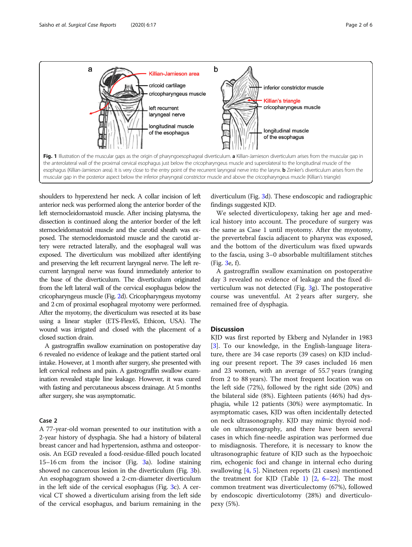<span id="page-1-0"></span>

shoulders to hyperextend her neck. A collar incision of left anterior neck was performed along the anterior border of the left sternocleidomastoid muscle. After incising platysma, the dissection is continued along the anterior border of the left sternocleidomastoid muscle and the carotid sheath was exposed. The sternocleidomastoid muscle and the carotid artery were retracted laterally, and the esophageal wall was exposed. The diverticulum was mobilized after identifying and preserving the left recurrent laryngeal nerve. The left recurrent laryngeal nerve was found immediately anterior to the base of the diverticulum. The diverticulum originated from the left lateral wall of the cervical esophagus below the cricopharyngeus muscle (Fig. [2](#page-2-0)d). Cricopharyngeus myotomy and 2 cm of proximal esophageal myotomy were performed. After the myotomy, the diverticulum was resected at its base using a linear stapler (ETS-Flex45, Ethicon, USA). The wound was irrigated and closed with the placement of a closed suction drain.

A gastrograffin swallow examination on postoperative day 6 revealed no evidence of leakage and the patient started oral intake. However, at 1 month after surgery, she presented with left cervical redness and pain. A gastrograffin swallow examination revealed staple line leakage. However, it was cured with fasting and percutaneous abscess drainage. At 5 months after surgery, she was asymptomatic.

### Case 2

A 77-year-old woman presented to our institution with a 2-year history of dysphagia. She had a history of bilateral breast cancer and had hypertension, asthma and osteoporosis. An EGD revealed a food-residue-filled pouch located 15–16 cm from the incisor (Fig. [3a](#page-3-0)). Iodine staining showed no cancerous lesion in the diverticulum (Fig. [3](#page-3-0)b). An esophagogram showed a 2-cm-diameter diverticulum in the left side of the cervical esophagus (Fig. [3](#page-3-0)c). A cervical CT showed a diverticulum arising from the left side of the cervical esophagus, and barium remaining in the

diverticulum (Fig. [3](#page-3-0)d). These endoscopic and radiographic findings suggested KJD.

We selected diverticulopexy, taking her age and medical history into account. The procedure of surgery was the same as Case 1 until myotomy. After the myotomy, the prevertebral fascia adjacent to pharynx was exposed, and the bottom of the diverticulum was fixed upwards to the fascia, using 3–0 absorbable multifilament stitches (Fig. [3](#page-3-0)e, f).

A gastrograffin swallow examination on postoperative day 3 revealed no evidence of leakage and the fixed diverticulum was not detected (Fig. [3g](#page-3-0)). The postoperative course was uneventful. At 2 years after surgery, she remained free of dysphagia.

#### **Discussion**

KJD was first reported by Ekberg and Nylander in 1983 [[3\]](#page-5-0). To our knowledge, in the English-language literature, there are 34 case reports (39 cases) on KJD including our present report. The 39 cases included 16 men and 23 women, with an average of 55.7 years (ranging from 2 to 88 years). The most frequent location was on the left side (72%), followed by the right side (20%) and the bilateral side (8%). Eighteen patients (46%) had dysphagia, while 12 patients (30%) were asymptomatic. In asymptomatic cases, KJD was often incidentally detected on neck ultrasonography. KJD may mimic thyroid nodule on ultrasonography, and there have been several cases in which fine-needle aspiration was performed due to misdiagnosis. Therefore, it is necessary to know the ultrasonographic feature of KJD such as the hypoechoic rim, echogenic foci and change in internal echo during swallowing [[4,](#page-5-0) [5\]](#page-5-0). Nineteen reports (21 cases) mentioned the treatment for KJD (Table [1](#page-4-0))  $[2, 6-22]$  $[2, 6-22]$  $[2, 6-22]$  $[2, 6-22]$  $[2, 6-22]$  $[2, 6-22]$ . The most common treatment was diverticulectomy (67%), followed by endoscopic diverticulotomy (28%) and diverticulopexy (5%).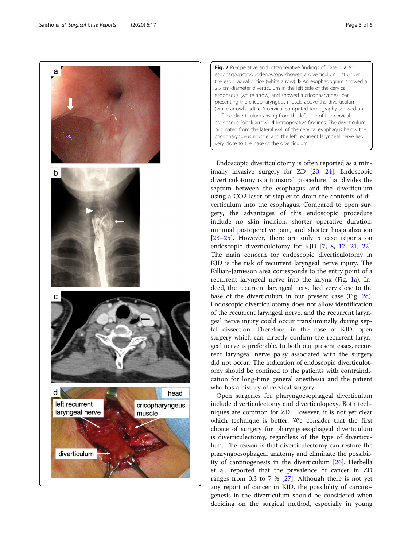<span id="page-2-0"></span>

Fig. 2 Preoperative and intraoperative findings of Case 1. a An esophagogastroduodenoscopy showed a diverticulum just under the esophageal orifice (white arrow). **b** An esophagogram showed a 2.5 cm-diameter diverticulum in the left side of the cervical esophagus (white arrow) and showed a cricopharyngeal bar presenting the cricopharyngeus muscle above the diverticulum (white arrowhead). c A cervical computed tomography showed an air-filled diverticulum arising from the left side of the cervical esophagus (black arrow). **d** Intraoperative findings. The diverticulum originated from the lateral wall of the cervical esophagus below the cricopharyngeus muscle, and the left recurrent laryngeal nerve lied very close to the base of the diverticulum.

Endoscopic diverticulotomy is often reported as a minimally invasive surgery for ZD [[23,](#page-5-0) [24](#page-5-0)]. Endoscopic diverticulotomy is a transoral procedure that divides the septum between the esophagus and the diverticulum using a CO2 laser or stapler to drain the contents of diverticulum into the esophagus. Compared to open surgery, the advantages of this endoscopic procedure include no skin incision, shorter operative duration, minimal postoperative pain, and shorter hospitalization [[23](#page-5-0)–[25](#page-5-0)]. However, there are only 5 case reports on endoscopic diverticulotomy for KJD [[7,](#page-5-0) [8,](#page-5-0) [17,](#page-5-0) [21](#page-5-0), [22](#page-5-0)]. The main concern for endoscopic diverticulotomy in KJD is the risk of recurrent laryngeal nerve injury. The Killian-Jamieson area corresponds to the entry point of a recurrent laryngeal nerve into the larynx (Fig. [1a](#page-1-0)). Indeed, the recurrent laryngeal nerve lied very close to the base of the diverticulum in our present case (Fig. 2d). Endoscopic diverticulotomy does not allow identification of the recurrent laryngeal nerve, and the recurrent laryngeal nerve injury could occur transluminally during septal dissection. Therefore, in the case of KJD, open surgery which can directly confirm the recurrent laryngeal nerve is preferable. In both our present cases, recurrent laryngeal nerve palsy associated with the surgery did not occur. The indication of endoscopic diverticulotomy should be confined to the patients with contraindication for long-time general anesthesia and the patient who has a history of cervical surgery.

Open surgeries for pharyngoesophageal diverticulum include diverticulectomy and diverticulopexy. Both techniques are common for ZD. However, it is not yet clear which technique is better. We consider that the first choice of surgery for pharyngoesophageal diverticulum is diverticulectomy, regardless of the type of diverticulum. The reason is that diverticulectomy can restore the pharyngoesophageal anatomy and eliminate the possibility of carcinogenesis in the diverticulum [\[26](#page-5-0)]. Herbella et al. reported that the prevalence of cancer in ZD ranges from 0.3 to 7 % [\[27\]](#page-5-0). Although there is not yet any report of cancer in KJD, the possibility of carcinogenesis in the diverticulum should be considered when deciding on the surgical method, especially in young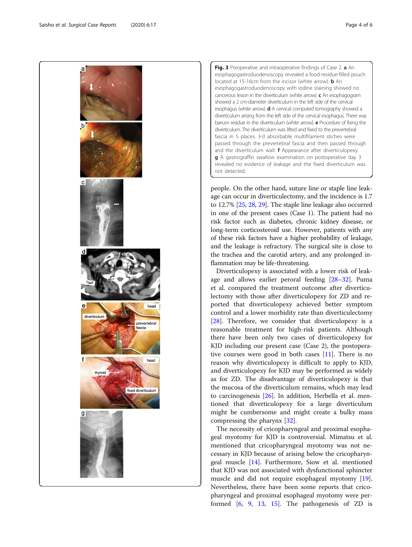<span id="page-3-0"></span>

Fig. 3 Preoperative and intraoperative findings of Case 2. a An esophagogastroduodenoscopy revealed a food-residue-filled pouch located at 15-16cm from the incisor (white arrow). **b** An esophagogastroduodenoscopy with iodine staining showed no cancerous lesion in the diverticulum (white arrow).  $c$  An esophagogram showed a 2 cm-diameter diverticulum in the left side of the cervical esophagus (white arrow). **d** A cervical computed tomography showed a diverticulum arising from the left side of the cervical esophagus. There was barium residue in the diverticulum (white arrow). **e** Procedure of fixing the diverticulum. The diverticulum was lifted and fixed to the prevertebral fascia in 5 places. 3-0 absorbable multifilament stiches were passed through the prevertebral fascia and then passed through and the diverticulum wall. **f** Appearance after diverticulopexy. g A gastrograffin swallow examination on postoperative day 3 revealed no evidence of leakage and the fixed diverticulum was not detected.

people. On the other hand, suture line or staple line leakage can occur in diverticulectomy, and the incidence is 1.7 to 12.7% [[25](#page-5-0), [28,](#page-5-0) [29](#page-5-0)]. The staple line leakage also occurred in one of the present cases (Case 1). The patient had no risk factor such as diabetes, chronic kidney disease, or long-term corticosteroid use. However, patients with any of these risk factors have a higher probability of leakage, and the leakage is refractory. The surgical site is close to the trachea and the carotid artery, and any prolonged inflammation may be life-threatening.

Diverticulopexy is associated with a lower risk of leakage and allows earlier peroral feeding [[28](#page-5-0)–[32](#page-5-0)]. Puma et al. compared the treatment outcome after diverticulectomy with those after diverticulopexy for ZD and reported that diverticulopexy achieved better symptom control and a lower morbidity rate than diverticulectomy [[28\]](#page-5-0). Therefore, we consider that diverticulopexy is a reasonable treatment for high-risk patients. Although there have been only two cases of diverticulopexy for KJD including our present case (Case 2), the postoperative courses were good in both cases [[11](#page-5-0)]. There is no reason why diverticulopexy is difficult to apply to KJD, and diverticulopexy for KJD may be performed as widely as for ZD. The disadvantage of diverticulopexy is that the mucosa of the diverticulum remains, which may lead to carcinogenesis [[26\]](#page-5-0). In addition, Herbella et al. mentioned that diverticulopexy for a large diverticulum might be cumbersome and might create a bulky mass compressing the pharynx [\[32\]](#page-5-0).

The necessity of cricopharyngeal and proximal esophageal myotomy for KJD is controversial. Mimatsu et al. mentioned that cricopharyngeal myotomy was not necessary in KJD because of arising below the cricopharyngeal muscle [\[14\]](#page-5-0). Furthermore, Siow et al. mentioned that KJD was not associated with dysfunctional sphincter muscle and did not require esophageal myotomy [\[19](#page-5-0)]. Nevertheless, there have been some reports that cricopharyngeal and proximal esophageal myotomy were performed [\[6](#page-5-0), [9,](#page-5-0) [13,](#page-5-0) [15\]](#page-5-0). The pathogenesis of ZD is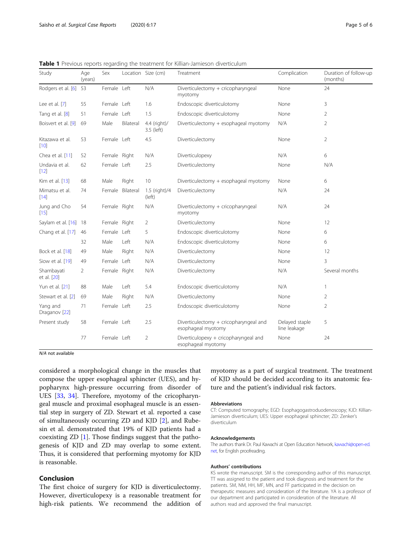| Study                                | Age<br>(years) | Sex          |                  | Location Size (cm)         | Treatment                                                    | Complication                   | Duration of follow-up<br>(months) |
|--------------------------------------|----------------|--------------|------------------|----------------------------|--------------------------------------------------------------|--------------------------------|-----------------------------------|
| Rodgers et al. [6]                   | 53             | Female Left  |                  | N/A                        | Diverticulectomy + cricopharyngeal<br>myotomy                | None                           | 24                                |
| Lee et al. [7]                       | 55             | Female Left  |                  | 1.6                        | Endoscopic diverticulotomy                                   | None                           | 3                                 |
| Tang et al. [8]                      | 51             | Female Left  |                  | 1.5                        | Endoscopic diverticulotomy                                   | None                           | $\overline{2}$                    |
| Boisvert et al. [9]                  | 69             | Male         | Bilateral        | 4.4 (right)/<br>3.5 (left) | Diverticulectomy + esophageal myotomy                        | N/A                            | 2                                 |
| Kitazawa et al.<br>[10]              | 53             | Female Left  |                  | 4.5                        | Diverticulectomy                                             | None                           | $\overline{2}$                    |
| Chea et al. [11]                     | 52             | Female Right |                  | N/A                        | Diverticulopexy                                              | N/A                            | 6                                 |
| Undavia et al.<br>$[12]$             | 62             | Female Left  |                  | 2.5                        | Diverticulectomy                                             | None                           | N/A                               |
| Kim et al. [13]                      | 68             | Male         | Right            | 10                         | Diverticulectomy + esophageal myotomy                        | None                           | 6                                 |
| Mimatsu et al.<br>$[14]$             | 74             |              | Female Bilateral | 1.5 (right)/4<br>(left)    | Diverticulectomy                                             | N/A                            | 24                                |
| Jung and Cho<br>[15]                 | 54             | Female Right |                  | N/A                        | Diverticulectomy + cricopharyngeal<br>myotomy                | N/A                            | 24                                |
| Saylam et al. [16]                   | - 18           | Female Right |                  | $\overline{2}$             | Diverticulectomy                                             | None                           | 12                                |
| Chang et al. [17]                    | 46             | Female Left  |                  | 5                          | Endoscopic diverticulotomy                                   | None                           | 6                                 |
|                                      | 32             | Male         | Left             | N/A                        | Endoscopic diverticulotomy                                   | None                           | 6                                 |
| Bock et al. [18]                     | 49             | Male         | Right            | N/A                        | Diverticulectomy                                             | None                           | 12                                |
| Siow et al. [19]                     | 49             | Female       | Left             | N/A                        | Diverticulectomy                                             | None                           | 3                                 |
| Shambayati<br>et al. [20]            | $\overline{2}$ | Female Right |                  | N/A                        | Diverticulectomy                                             | N/A                            | Several months                    |
| Yun et al. [21]                      | 88             | Male         | Left             | 5.4                        | Endoscopic diverticulotomy                                   | N/A                            | 1                                 |
| Stewart et al. [2]                   | 69             | Male         | Right            | N/A                        | Diverticulectomy                                             | None                           | $\overline{2}$                    |
| Yang and<br>Draganov <sup>[22]</sup> | 71             | Female Left  |                  | 2.5                        | Endoscopic diverticulotomy                                   | None                           | $\overline{2}$                    |
| Present study                        | 58             | Female Left  |                  | 2.5                        | Diverticulectomy + cricopharyngeal and<br>esophageal myotomy | Delayed staple<br>line leakage | 5                                 |
|                                      | 77             | Female Left  |                  | $\overline{2}$             | Diverticulopexy + cricopharyngeal and<br>esophageal myotomy  | None                           | 24                                |

<span id="page-4-0"></span>Table 1 Previous reports regarding the treatment for Killian-Jamieson diverticulum

N/A not available

considered a morphological change in the muscles that compose the upper esophageal sphincter (UES), and hypopharynx high-pressure occurring from disorder of UES [\[33,](#page-5-0) [34](#page-5-0)]. Therefore, myotomy of the cricopharyngeal muscle and proximal esophageal muscle is an essential step in surgery of ZD. Stewart et al. reported a case of simultaneously occurring ZD and KJD [[2\]](#page-5-0), and Rubesin et al. demonstrated that 19% of KJD patients had a coexisting ZD [[1\]](#page-5-0). Those findings suggest that the pathogenesis of KJD and ZD may overlap to some extent. Thus, it is considered that performing myotomy for KJD is reasonable.

## Conclusion

The first choice of surgery for KJD is diverticulectomy. However, diverticulopexy is a reasonable treatment for high-risk patients. We recommend the addition of myotomy as a part of surgical treatment. The treatment of KJD should be decided according to its anatomic feature and the patient's individual risk factors.

#### Abbreviations

CT: Computed tomography; EGD: Esophagogastroduodenoscopy; KJD: Killian-Jamieson diverticulum; UES: Upper esophageal sphincter; ZD: Zenker's diverticulum

#### Acknowledgements

The authors thank Dr. Paul Kawachi at Open Education Network, [kawachi@open-ed.](mailto:kawachi@open-ed.net) [net,](mailto:kawachi@open-ed.net) for English proofreading.

#### Authors' contributions

KS wrote the manuscript. SM is the corresponding author of this manuscript. TT was assigned to the patient and took diagnosis and treatment for the patients. SM, NM, HH, MF, MN, and FF participated in the decision on therapeutic measures and consideration of the literature. YA is a professor of our department and participated in consideration of the literature. All authors read and approved the final manuscript.